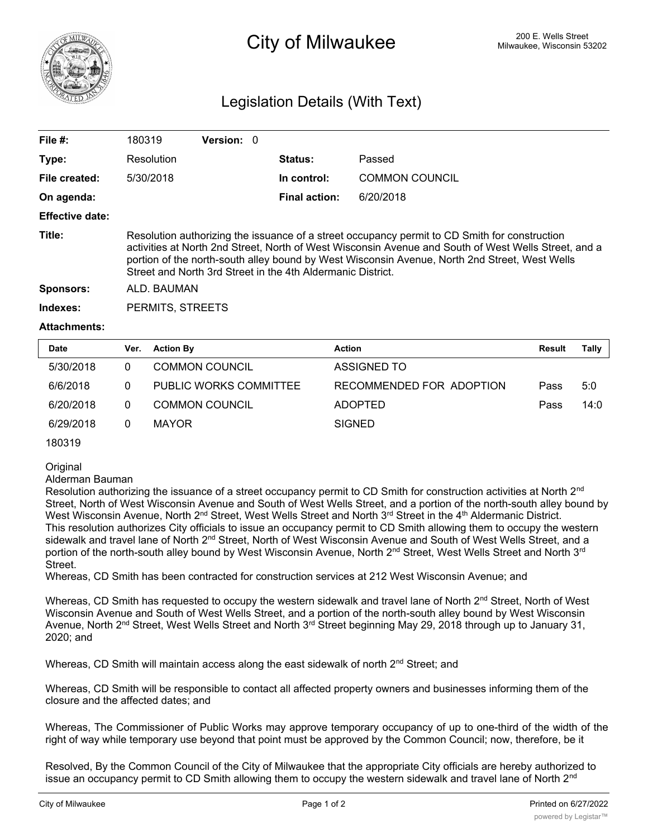

## <sup>200 E.</sup> Wells Street **City of Milwaukee** Milwaukee, Wisconsin 53202

## Legislation Details (With Text)

| File $#$ :             | 180319                                                                                                                                                                                                                                                                                                                                                                | Version: 0 |  |                |                       |  |  |  |
|------------------------|-----------------------------------------------------------------------------------------------------------------------------------------------------------------------------------------------------------------------------------------------------------------------------------------------------------------------------------------------------------------------|------------|--|----------------|-----------------------|--|--|--|
| Type:                  | Resolution                                                                                                                                                                                                                                                                                                                                                            |            |  | <b>Status:</b> | Passed                |  |  |  |
| File created:          | 5/30/2018                                                                                                                                                                                                                                                                                                                                                             |            |  | In control:    | <b>COMMON COUNCIL</b> |  |  |  |
| On agenda:             |                                                                                                                                                                                                                                                                                                                                                                       |            |  | Final action:  | 6/20/2018             |  |  |  |
| <b>Effective date:</b> |                                                                                                                                                                                                                                                                                                                                                                       |            |  |                |                       |  |  |  |
| Title:                 | Resolution authorizing the issuance of a street occupancy permit to CD Smith for construction<br>activities at North 2nd Street, North of West Wisconsin Avenue and South of West Wells Street, and a<br>portion of the north-south alley bound by West Wisconsin Avenue, North 2nd Street, West Wells<br>Street and North 3rd Street in the 4th Aldermanic District. |            |  |                |                       |  |  |  |
| <b>Sponsors:</b>       | ALD. BAUMAN                                                                                                                                                                                                                                                                                                                                                           |            |  |                |                       |  |  |  |
| Indexes:               | PERMITS, STREETS                                                                                                                                                                                                                                                                                                                                                      |            |  |                |                       |  |  |  |
| <b>Attachments:</b>    |                                                                                                                                                                                                                                                                                                                                                                       |            |  |                |                       |  |  |  |

| <b>Date</b> | Ver. | <b>Action By</b>       | <b>Action</b>            | <b>Result</b> | Tally |
|-------------|------|------------------------|--------------------------|---------------|-------|
| 5/30/2018   | 0    | <b>COMMON COUNCIL</b>  | ASSIGNED TO              |               |       |
| 6/6/2018    | 0    | PUBLIC WORKS COMMITTEE | RECOMMENDED FOR ADOPTION | Pass          | 5:0   |
| 6/20/2018   | 0    | <b>COMMON COUNCIL</b>  | <b>ADOPTED</b>           | Pass          | 14:0  |
| 6/29/2018   | 0    | MAYOR                  | <b>SIGNED</b>            |               |       |

180319

**Original** 

Alderman Bauman

Resolution authorizing the issuance of a street occupancy permit to CD Smith for construction activities at North 2<sup>nd</sup> Street, North of West Wisconsin Avenue and South of West Wells Street, and a portion of the north-south alley bound by West Wisconsin Avenue, North 2<sup>nd</sup> Street, West Wells Street and North 3<sup>rd</sup> Street in the 4<sup>th</sup> Aldermanic District. This resolution authorizes City officials to issue an occupancy permit to CD Smith allowing them to occupy the western sidewalk and travel lane of North 2<sup>nd</sup> Street, North of West Wisconsin Avenue and South of West Wells Street, and a portion of the north-south alley bound by West Wisconsin Avenue, North 2<sup>nd</sup> Street, West Wells Street and North 3<sup>rd</sup> Street.

Whereas, CD Smith has been contracted for construction services at 212 West Wisconsin Avenue; and

Whereas, CD Smith has requested to occupy the western sidewalk and travel lane of North  $2^{nd}$  Street. North of West Wisconsin Avenue and South of West Wells Street, and a portion of the north-south alley bound by West Wisconsin Avenue, North 2<sup>nd</sup> Street, West Wells Street and North 3<sup>rd</sup> Street beginning May 29, 2018 through up to January 31, 2020; and

Whereas, CD Smith will maintain access along the east sidewalk of north 2<sup>nd</sup> Street; and

Whereas, CD Smith will be responsible to contact all affected property owners and businesses informing them of the closure and the affected dates; and

Whereas, The Commissioner of Public Works may approve temporary occupancy of up to one-third of the width of the right of way while temporary use beyond that point must be approved by the Common Council; now, therefore, be it

Resolved, By the Common Council of the City of Milwaukee that the appropriate City officials are hereby authorized to issue an occupancy permit to CD Smith allowing them to occupy the western sidewalk and travel lane of North 2<sup>nd</sup>